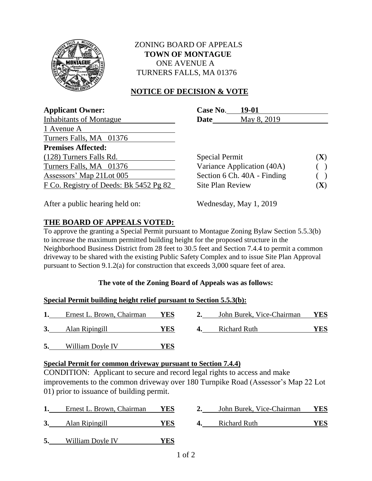

### ZONING BOARD OF APPEALS  **TOWN OF MONTAGUE** ONE AVENUE A TURNERS FALLS, MA 01376

## **NOTICE OF DECISION & VOTE**

| <b>Applicant Owner:</b>                | Case No.<br>19-01           |     |
|----------------------------------------|-----------------------------|-----|
| <b>Inhabitants of Montague</b>         | May 8, 2019<br><b>Date</b>  |     |
| 1 Avenue A                             |                             |     |
| Turners Falls, MA 01376                |                             |     |
| <b>Premises Affected:</b>              |                             |     |
| (128) Turners Falls Rd.                | <b>Special Permit</b>       | (X) |
| Turners Falls, MA 01376                | Variance Application (40A)  |     |
| Assessors' Map 21Lot 005               | Section 6 Ch. 40A - Finding |     |
| F Co. Registry of Deeds: Bk 5452 Pg 82 | <b>Site Plan Review</b>     | (X) |
|                                        |                             |     |

After a public hearing held on: Wednesday, May 1, 2019

## **THE BOARD OF APPEALS VOTED:**

To approve the granting a Special Permit pursuant to Montague Zoning Bylaw Section 5.5.3(b) to increase the maximum permitted building height for the proposed structure in the Neighborhood Business District from 28 feet to 30.5 feet and Section 7.4.4 to permit a common driveway to be shared with the existing Public Safety Complex and to issue Site Plan Approval pursuant to Section 9.1.2(a) for construction that exceeds 3,000 square feet of area.

### **The vote of the Zoning Board of Appeals was as follows:**

#### **Special Permit building height relief pursuant to Section 5.5.3(b):**

|    | Ernest L. Brown, Chairman | <b>YES</b> |    | John Burek, Vice-Chairman | YES |
|----|---------------------------|------------|----|---------------------------|-----|
| 3. | Alan Ripingill            | YES        | 4. | <b>Richard Ruth</b>       | YES |

**5.** William Doyle IV **YES**

### **Special Permit for common driveway pursuant to Section 7.4.4)**

CONDITION: Applicant to secure and record legal rights to access and make improvements to the common driveway over 180 Turnpike Road (Assessor's Map 22 Lot 01) prior to issuance of building permit.

|    | Ernest L. Brown, Chairman | YES | John Burek, Vice-Chairman | <b>YES</b> |
|----|---------------------------|-----|---------------------------|------------|
|    | Alan Ripingill            | YES | Richard Ruth              | YES        |
| 5. | William Doyle IV          | YES |                           |            |